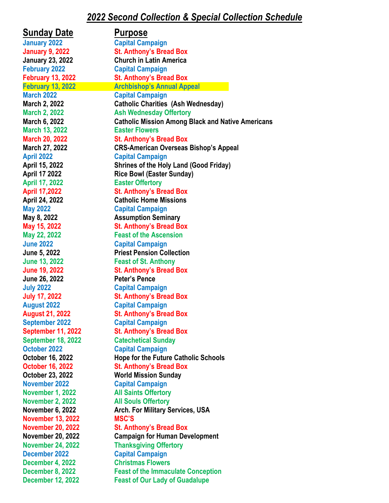## *2022 Second Collection & Special Collection Schedule*

| <b>Sunday Date</b>                         | <b>Purpose</b>                                            |
|--------------------------------------------|-----------------------------------------------------------|
| <b>January 2022</b>                        | <b>Capital Campaign</b>                                   |
| <b>January 9, 2022</b>                     | <b>St. Anthony's Bread Box</b>                            |
| <b>January 23, 2022</b>                    | <b>Church in Latin America</b>                            |
| <b>February 2022</b>                       | <b>Capital Campaign</b>                                   |
| <b>February 13, 2022</b>                   | <b>St. Anthony's Bread Box</b>                            |
| <b>February 13, 2022</b>                   | <b>Archbishop's Annual Appeal</b>                         |
| <b>March 2022</b>                          | <b>Capital Campaign</b>                                   |
| March 2, 2022                              | <b>Catholic Charities (Ash Wednesday)</b>                 |
| <b>March 2, 2022</b>                       | <b>Ash Wednesday Offertory</b>                            |
| March 6, 2022                              | <b>Catholic Mission Among Black and Native Americans</b>  |
| <b>March 13, 2022</b>                      | <b>Easter Flowers</b>                                     |
| <b>March 20, 2022</b>                      | <b>St. Anthony's Bread Box</b>                            |
| March 27, 2022                             | <b>CRS-American Overseas Bishop's Appeal</b>              |
| <b>April 2022</b>                          | <b>Capital Campaign</b>                                   |
| April 15, 2022                             | <b>Shrines of the Holy Land (Good Friday)</b>             |
| <b>April 17 2022</b>                       | <b>Rice Bowl (Easter Sunday)</b>                          |
| <b>April 17, 2022</b>                      | <b>Easter Offertory</b>                                   |
| <b>April 17,2022</b>                       | <b>St. Anthony's Bread Box</b>                            |
| April 24, 2022                             | <b>Catholic Home Missions</b>                             |
| <b>May 2022</b>                            | <b>Capital Campaign</b>                                   |
| May 8, 2022                                | <b>Assumption Seminary</b>                                |
| May 15, 2022                               | <b>St. Anthony's Bread Box</b>                            |
| May 22, 2022                               | <b>Feast of the Ascension</b>                             |
| <b>June 2022</b>                           | <b>Capital Campaign</b>                                   |
| June 5, 2022                               | <b>Priest Pension Collection</b>                          |
| <b>June 13, 2022</b>                       | <b>Feast of St. Anthony</b>                               |
| <b>June 19, 2022</b>                       | <b>St. Anthony's Bread Box</b>                            |
| June 26, 2022                              | <b>Peter's Pence</b>                                      |
| <b>July 2022</b>                           | <b>Capital Campaign</b>                                   |
| <b>July 17, 2022</b><br><b>August 2022</b> | <b>St. Anthony's Bread Box</b>                            |
| <b>August 21, 2022</b>                     | <b>Capital Campaign</b><br><b>St. Anthony's Bread Box</b> |
| <b>September 2022</b>                      | <b>Capital Campaign</b>                                   |
| <b>September 11, 2022</b>                  | <b>St. Anthony's Bread Box</b>                            |
| <b>September 18, 2022</b>                  | <b>Catechetical Sunday</b>                                |
| October 2022                               | <b>Capital Campaign</b>                                   |
| October 16, 2022                           | <b>Hope for the Future Catholic Schools</b>               |
| <b>October 16, 2022</b>                    | <b>St. Anthony's Bread Box</b>                            |
| October 23, 2022                           | <b>World Mission Sunday</b>                               |
| November 2022                              | <b>Capital Campaign</b>                                   |
| <b>November 1, 2022</b>                    | <b>All Saints Offertory</b>                               |
| <b>November 2, 2022</b>                    | <b>All Souls Offertory</b>                                |
| November 6, 2022                           | <b>Arch. For Military Services, USA</b>                   |
| <b>November 13, 2022</b>                   | <b>MSC'S</b>                                              |
| <b>November 20, 2022</b>                   | <b>St. Anthony's Bread Box</b>                            |
| <b>November 20, 2022</b>                   | <b>Campaign for Human Development</b>                     |
| <b>November 24, 2022</b>                   | <b>Thanksgiving Offertory</b>                             |
| <b>December 2022</b>                       | <b>Capital Campaign</b>                                   |
| December 4, 2022                           | <b>Christmas Flowers</b>                                  |
| <b>December 8, 2022</b>                    | <b>Feast of the Immaculate Conception</b>                 |
| <b>December 12, 2022</b>                   | <b>Feast of Our Lady of Guadalupe</b>                     |